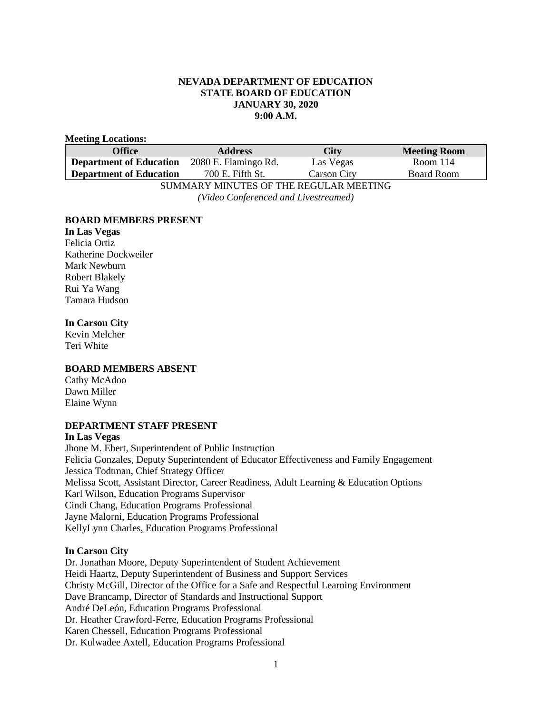### **NEVADA DEPARTMENT OF EDUCATION STATE BOARD OF EDUCATION JANUARY 30, 2020 9:00 A.M.**

#### **Meeting Locations:**

| <b>Office</b>                             | <b>Address</b>       | City        | <b>Meeting Room</b> |
|-------------------------------------------|----------------------|-------------|---------------------|
| <b>Department of Education</b>            | 2080 E. Flamingo Rd. | Las Vegas   | Room 114            |
| <b>Department of Education</b>            | 700 E. Fifth St.     | Carson City | Board Room          |
| CUMBLA DV MINUTEC OF THE DECHI AD MEETING |                      |             |                     |

SUMMARY MINUTES OF THE REGULAR MEETING *(Video Conferenced and Livestreamed)*

### **BOARD MEMBERS PRESENT**

**In Las Vegas** Felicia Ortiz Katherine Dockweiler Mark Newburn Robert Blakely Rui Ya Wang Tamara Hudson

### **In Carson City**

Kevin Melcher Teri White

### **BOARD MEMBERS ABSENT**

Cathy McAdoo Dawn Miller Elaine Wynn

### **DEPARTMENT STAFF PRESENT**

**In Las Vegas** Jhone M. Ebert, Superintendent of Public Instruction Felicia Gonzales, Deputy Superintendent of Educator Effectiveness and Family Engagement Jessica Todtman, Chief Strategy Officer Melissa Scott, Assistant Director, Career Readiness, Adult Learning & Education Options Karl Wilson, Education Programs Supervisor Cindi Chang, Education Programs Professional Jayne Malorni, Education Programs Professional KellyLynn Charles, Education Programs Professional

### **In Carson City**

Dr. Jonathan Moore, Deputy Superintendent of Student Achievement Heidi Haartz, Deputy Superintendent of Business and Support Services Christy McGill, Director of the Office for a Safe and Respectful Learning Environment Dave Brancamp, Director of Standards and Instructional Support André DeLeón, Education Programs Professional Dr. Heather Crawford-Ferre, Education Programs Professional Karen Chessell, Education Programs Professional Dr. Kulwadee Axtell, Education Programs Professional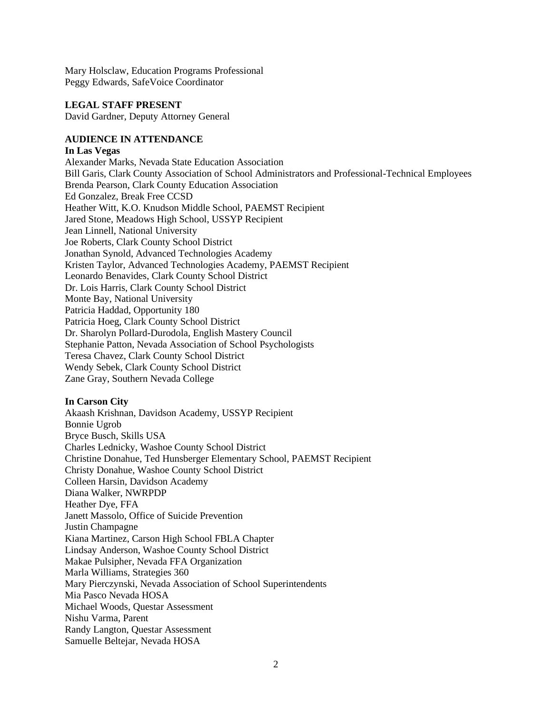Mary Holsclaw, Education Programs Professional Peggy Edwards, SafeVoice Coordinator

### **LEGAL STAFF PRESENT**

David Gardner, Deputy Attorney General

### **AUDIENCE IN ATTENDANCE**

### **In Las Vegas**

Alexander Marks, Nevada State Education Association Bill Garis, Clark County Association of School Administrators and Professional-Technical Employees Brenda Pearson, Clark County Education Association Ed Gonzalez, Break Free CCSD Heather Witt, K.O. Knudson Middle School, PAEMST Recipient Jared Stone, Meadows High School, USSYP Recipient Jean Linnell, National University Joe Roberts, Clark County School District Jonathan Synold, Advanced Technologies Academy Kristen Taylor, Advanced Technologies Academy, PAEMST Recipient Leonardo Benavides, Clark County School District Dr. Lois Harris, Clark County School District Monte Bay, National University Patricia Haddad, Opportunity 180 Patricia Hoeg, Clark County School District Dr. Sharolyn Pollard-Durodola, English Mastery Council Stephanie Patton, Nevada Association of School Psychologists Teresa Chavez, Clark County School District Wendy Sebek, Clark County School District Zane Gray, Southern Nevada College

### **In Carson City**

Akaash Krishnan, Davidson Academy, USSYP Recipient Bonnie Ugrob Bryce Busch, Skills USA Charles Lednicky, Washoe County School District Christine Donahue, Ted Hunsberger Elementary School, PAEMST Recipient Christy Donahue, Washoe County School District Colleen Harsin, Davidson Academy Diana Walker, NWRPDP Heather Dye, FFA Janett Massolo, Office of Suicide Prevention Justin Champagne Kiana Martinez, Carson High School FBLA Chapter Lindsay Anderson, Washoe County School District Makae Pulsipher, Nevada FFA Organization Marla Williams, Strategies 360 Mary Pierczynski, Nevada Association of School Superintendents Mia Pasco Nevada HOSA Michael Woods, Questar Assessment Nishu Varma, Parent Randy Langton, Questar Assessment Samuelle Beltejar, Nevada HOSA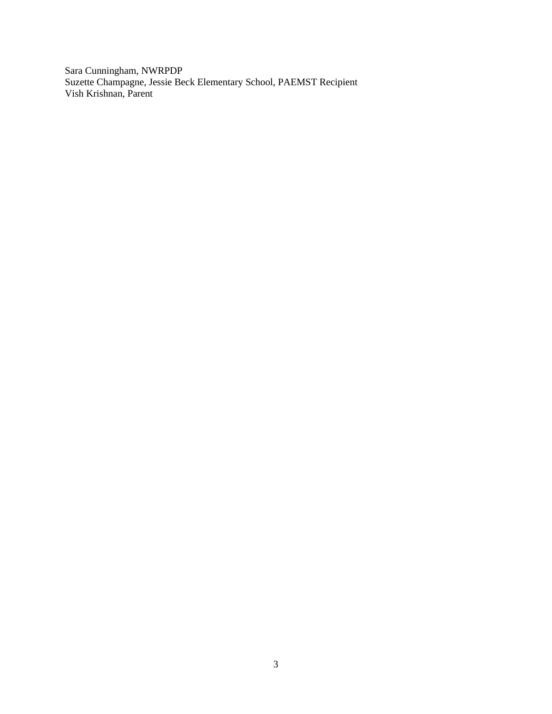Sara Cunningham, NWRPDP Suzette Champagne, Jessie Beck Elementary School, PAEMST Recipient Vish Krishnan, Parent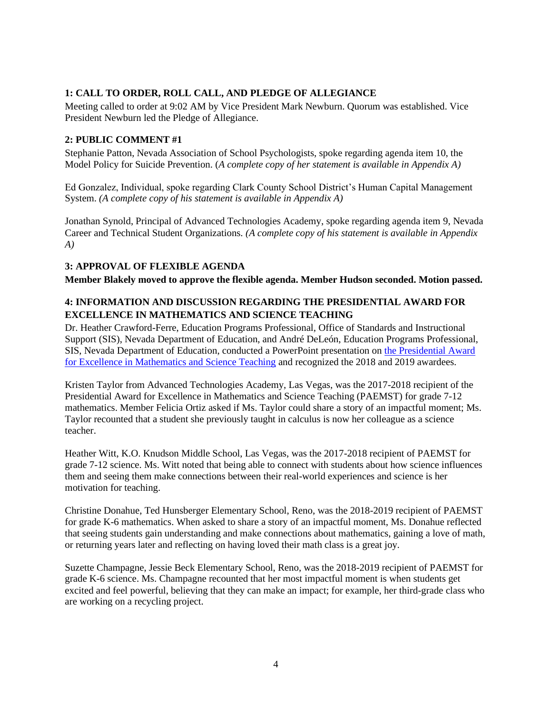# **1: CALL TO ORDER, ROLL CALL, AND PLEDGE OF ALLEGIANCE**

Meeting called to order at 9:02 AM by Vice President Mark Newburn. Quorum was established. Vice President Newburn led the Pledge of Allegiance.

### **2: PUBLIC COMMENT #1**

Stephanie Patton, Nevada Association of School Psychologists, spoke regarding agenda item 10, the Model Policy for Suicide Prevention. (*A complete copy of her statement is available in Appendix A)*

Ed Gonzalez, Individual, spoke regarding Clark County School District's Human Capital Management System. *(A complete copy of his statement is available in Appendix A)*

Jonathan Synold, Principal of Advanced Technologies Academy, spoke regarding agenda item 9, Nevada Career and Technical Student Organizations. *(A complete copy of his statement is available in Appendix A)*

### **3: APPROVAL OF FLEXIBLE AGENDA**

**Member Blakely moved to approve the flexible agenda. Member Hudson seconded. Motion passed.**

# **4: INFORMATION AND DISCUSSION REGARDING THE PRESIDENTIAL AWARD FOR EXCELLENCE IN MATHEMATICS AND SCIENCE TEACHING**

Dr. Heather Crawford-Ferre, Education Programs Professional, Office of Standards and Instructional Support (SIS), Nevada Department of Education, and André DeLeón, Education Programs Professional, SIS, Nevada Department of Education, conducted a PowerPoint presentation on the Presidential Award [for Excellence in Mathematics and Science Teaching](http://www.doe.nv.gov/uploadedFiles/ndedoenvgov/content/Boards_Commissions_Councils/State_Board_of_Education/2020/January/PAEMSTPPT.pdf) and recognized the 2018 and 2019 awardees.

Kristen Taylor from Advanced Technologies Academy, Las Vegas, was the 2017-2018 recipient of the Presidential Award for Excellence in Mathematics and Science Teaching (PAEMST) for grade 7-12 mathematics. Member Felicia Ortiz asked if Ms. Taylor could share a story of an impactful moment; Ms. Taylor recounted that a student she previously taught in calculus is now her colleague as a science teacher.

Heather Witt, K.O. Knudson Middle School, Las Vegas, was the 2017-2018 recipient of PAEMST for grade 7-12 science. Ms. Witt noted that being able to connect with students about how science influences them and seeing them make connections between their real-world experiences and science is her motivation for teaching.

Christine Donahue, Ted Hunsberger Elementary School, Reno, was the 2018-2019 recipient of PAEMST for grade K-6 mathematics. When asked to share a story of an impactful moment, Ms. Donahue reflected that seeing students gain understanding and make connections about mathematics, gaining a love of math, or returning years later and reflecting on having loved their math class is a great joy.

Suzette Champagne, Jessie Beck Elementary School, Reno, was the 2018-2019 recipient of PAEMST for grade K-6 science. Ms. Champagne recounted that her most impactful moment is when students get excited and feel powerful, believing that they can make an impact; for example, her third-grade class who are working on a recycling project.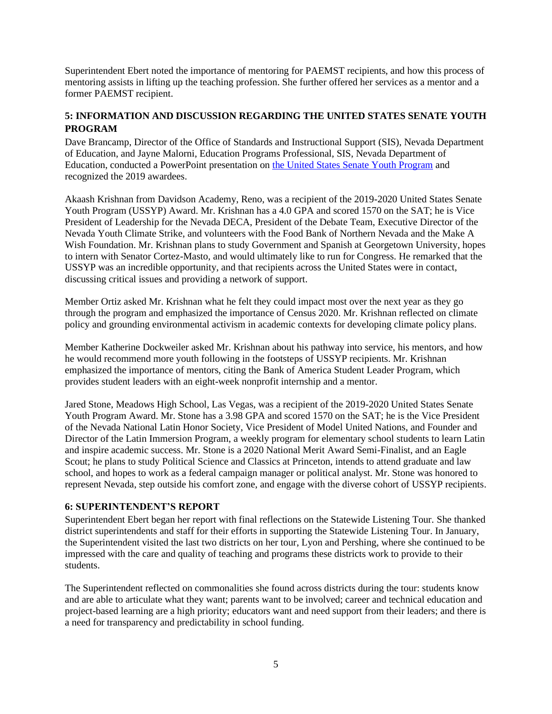Superintendent Ebert noted the importance of mentoring for PAEMST recipients, and how this process of mentoring assists in lifting up the teaching profession. She further offered her services as a mentor and a former PAEMST recipient.

# **5: INFORMATION AND DISCUSSION REGARDING THE UNITED STATES SENATE YOUTH PROGRAM**

Dave Brancamp, Director of the Office of Standards and Instructional Support (SIS), Nevada Department of Education, and Jayne Malorni, Education Programs Professional, SIS, Nevada Department of Education, conducted a PowerPoint presentation on [the United States Senate Youth Program](http://www.doe.nv.gov/uploadedFiles/ndedoenvgov/content/Boards_Commissions_Councils/State_Board_of_Education/2020/January/USSYP.pdf) and recognized the 2019 awardees.

Akaash Krishnan from Davidson Academy, Reno, was a recipient of the 2019-2020 United States Senate Youth Program (USSYP) Award. Mr. Krishnan has a 4.0 GPA and scored 1570 on the SAT; he is Vice President of Leadership for the Nevada DECA, President of the Debate Team, Executive Director of the Nevada Youth Climate Strike, and volunteers with the Food Bank of Northern Nevada and the Make A Wish Foundation. Mr. Krishnan plans to study Government and Spanish at Georgetown University, hopes to intern with Senator Cortez-Masto, and would ultimately like to run for Congress. He remarked that the USSYP was an incredible opportunity, and that recipients across the United States were in contact, discussing critical issues and providing a network of support.

Member Ortiz asked Mr. Krishnan what he felt they could impact most over the next year as they go through the program and emphasized the importance of Census 2020. Mr. Krishnan reflected on climate policy and grounding environmental activism in academic contexts for developing climate policy plans.

Member Katherine Dockweiler asked Mr. Krishnan about his pathway into service, his mentors, and how he would recommend more youth following in the footsteps of USSYP recipients. Mr. Krishnan emphasized the importance of mentors, citing the Bank of America Student Leader Program, which provides student leaders with an eight-week nonprofit internship and a mentor.

Jared Stone, Meadows High School, Las Vegas, was a recipient of the 2019-2020 United States Senate Youth Program Award. Mr. Stone has a 3.98 GPA and scored 1570 on the SAT; he is the Vice President of the Nevada National Latin Honor Society, Vice President of Model United Nations, and Founder and Director of the Latin Immersion Program, a weekly program for elementary school students to learn Latin and inspire academic success. Mr. Stone is a 2020 National Merit Award Semi-Finalist, and an Eagle Scout; he plans to study Political Science and Classics at Princeton, intends to attend graduate and law school, and hopes to work as a federal campaign manager or political analyst. Mr. Stone was honored to represent Nevada, step outside his comfort zone, and engage with the diverse cohort of USSYP recipients.

# **6: SUPERINTENDENT'S REPORT**

Superintendent Ebert began her report with final reflections on the Statewide Listening Tour. She thanked district superintendents and staff for their efforts in supporting the Statewide Listening Tour. In January, the Superintendent visited the last two districts on her tour, Lyon and Pershing, where she continued to be impressed with the care and quality of teaching and programs these districts work to provide to their students.

The Superintendent reflected on commonalities she found across districts during the tour: students know and are able to articulate what they want; parents want to be involved; career and technical education and project-based learning are a high priority; educators want and need support from their leaders; and there is a need for transparency and predictability in school funding.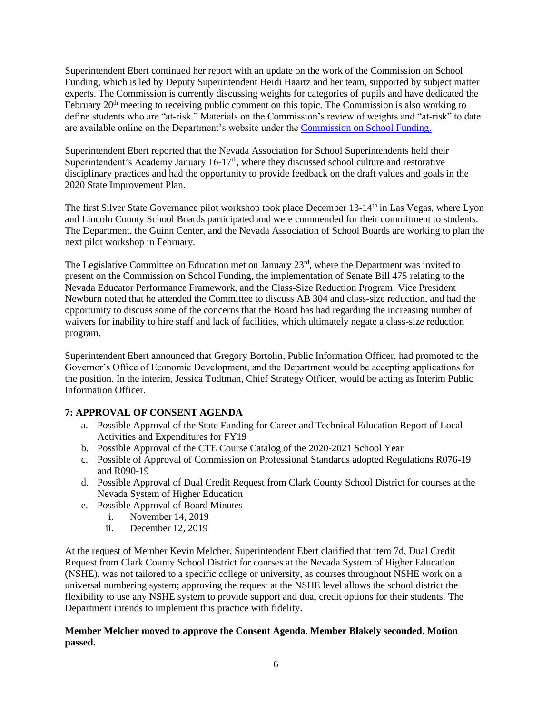Superintendent Ebert continued her report with an update on the work of the Commission on School Funding, which is led by Deputy Superintendent Heidi Haartz and her team, supported by subject matter experts. The Commission is currently discussing weights for categories of pupils and have dedicated the February 20<sup>th</sup> meeting to receiving public comment on this topic. The Commission is also working to define students who are "at-risk." Materials on the Commission's review of weights and "at-risk" to date are available online on the Department's website under the [Commission on School Funding.](http://www.doe.nv.gov/Commission_on_School_Funding/)

Superintendent Ebert reported that the Nevada Association for School Superintendents held their Superintendent's Academy January 16-17<sup>th</sup>, where they discussed school culture and restorative disciplinary practices and had the opportunity to provide feedback on the draft values and goals in the 2020 State Improvement Plan.

The first Silver State Governance pilot workshop took place December 13-14<sup>th</sup> in Las Vegas, where Lyon and Lincoln County School Boards participated and were commended for their commitment to students. The Department, the Guinn Center, and the Nevada Association of School Boards are working to plan the next pilot workshop in February.

The Legislative Committee on Education met on January  $23<sup>rd</sup>$ , where the Department was invited to present on the Commission on School Funding, the implementation of Senate Bill 475 relating to the Nevada Educator Performance Framework, and the Class-Size Reduction Program. Vice President Newburn noted that he attended the Committee to discuss AB 304 and class-size reduction, and had the opportunity to discuss some of the concerns that the Board has had regarding the increasing number of waivers for inability to hire staff and lack of facilities, which ultimately negate a class-size reduction program.

Superintendent Ebert announced that Gregory Bortolin, Public Information Officer, had promoted to the Governor's Office of Economic Development, and the Department would be accepting applications for the position. In the interim, Jessica Todtman, Chief Strategy Officer, would be acting as Interim Public Information Officer.

# **7: APPROVAL OF CONSENT AGENDA**

- a. Possible Approval of the State Funding for Career and Technical Education Report of Local Activities and Expenditures for FY19
- b. Possible Approval of the CTE Course Catalog of the 2020-2021 School Year
- c. Possible of Approval of Commission on Professional Standards adopted Regulations R076-19 and R090-19
- d. Possible Approval of Dual Credit Request from Clark County School District for courses at the Nevada System of Higher Education
- e. Possible Approval of Board Minutes
	- i. November 14, 2019
	- ii. December 12, 2019

At the request of Member Kevin Melcher, Superintendent Ebert clarified that item 7d, Dual Credit Request from Clark County School District for courses at the Nevada System of Higher Education (NSHE), was not tailored to a specific college or university, as courses throughout NSHE work on a universal numbering system; approving the request at the NSHE level allows the school district the flexibility to use any NSHE system to provide support and dual credit options for their students. The Department intends to implement this practice with fidelity.

### **Member Melcher moved to approve the Consent Agenda. Member Blakely seconded. Motion passed.**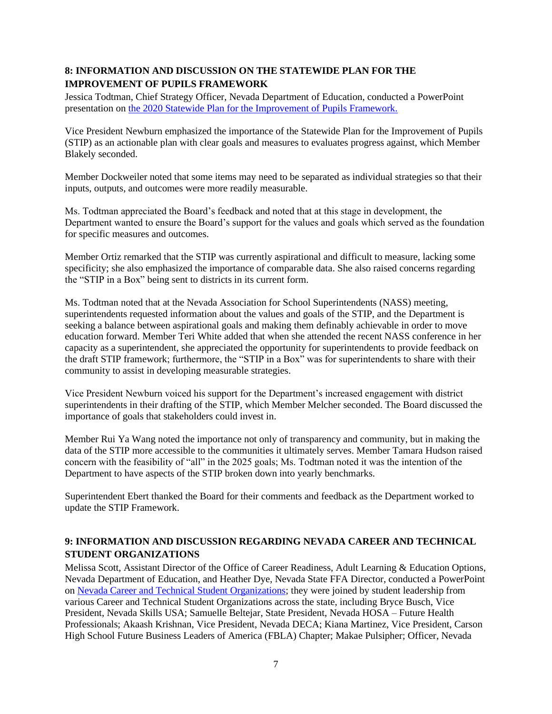# **8: INFORMATION AND DISCUSSION ON THE STATEWIDE PLAN FOR THE IMPROVEMENT OF PUPILS FRAMEWORK**

Jessica Todtman, Chief Strategy Officer, Nevada Department of Education, conducted a PowerPoint presentation on [the 2020 Statewide Plan for the Improvement of Pupils Framework.](http://www.doe.nv.gov/uploadedFiles/ndedoenvgov/content/Boards_Commissions_Councils/State_Board_of_Education/2020/January/SBE_STIP.pdf)

Vice President Newburn emphasized the importance of the Statewide Plan for the Improvement of Pupils (STIP) as an actionable plan with clear goals and measures to evaluates progress against, which Member Blakely seconded.

Member Dockweiler noted that some items may need to be separated as individual strategies so that their inputs, outputs, and outcomes were more readily measurable.

Ms. Todtman appreciated the Board's feedback and noted that at this stage in development, the Department wanted to ensure the Board's support for the values and goals which served as the foundation for specific measures and outcomes.

Member Ortiz remarked that the STIP was currently aspirational and difficult to measure, lacking some specificity; she also emphasized the importance of comparable data. She also raised concerns regarding the "STIP in a Box" being sent to districts in its current form.

Ms. Todtman noted that at the Nevada Association for School Superintendents (NASS) meeting, superintendents requested information about the values and goals of the STIP, and the Department is seeking a balance between aspirational goals and making them definably achievable in order to move education forward. Member Teri White added that when she attended the recent NASS conference in her capacity as a superintendent, she appreciated the opportunity for superintendents to provide feedback on the draft STIP framework; furthermore, the "STIP in a Box" was for superintendents to share with their community to assist in developing measurable strategies.

Vice President Newburn voiced his support for the Department's increased engagement with district superintendents in their drafting of the STIP, which Member Melcher seconded. The Board discussed the importance of goals that stakeholders could invest in.

Member Rui Ya Wang noted the importance not only of transparency and community, but in making the data of the STIP more accessible to the communities it ultimately serves. Member Tamara Hudson raised concern with the feasibility of "all" in the 2025 goals; Ms. Todtman noted it was the intention of the Department to have aspects of the STIP broken down into yearly benchmarks.

Superintendent Ebert thanked the Board for their comments and feedback as the Department worked to update the STIP Framework.

# **9: INFORMATION AND DISCUSSION REGARDING NEVADA CAREER AND TECHNICAL STUDENT ORGANIZATIONS**

Melissa Scott, Assistant Director of the Office of Career Readiness, Adult Learning & Education Options, Nevada Department of Education, and Heather Dye, Nevada State FFA Director, conducted a PowerPoint on [Nevada Career and Technical Student Organizations;](http://www.doe.nv.gov/uploadedFiles/ndedoenvgov/content/Boards_Commissions_Councils/State_Board_of_Education/2020/January/CTEPresentation.pdf) they were joined by student leadership from various Career and Technical Student Organizations across the state, including Bryce Busch, Vice President, Nevada Skills USA; Samuelle Beltejar, State President, Nevada HOSA – Future Health Professionals; Akaash Krishnan, Vice President, Nevada DECA; Kiana Martinez, Vice President, Carson High School Future Business Leaders of America (FBLA) Chapter; Makae Pulsipher; Officer, Nevada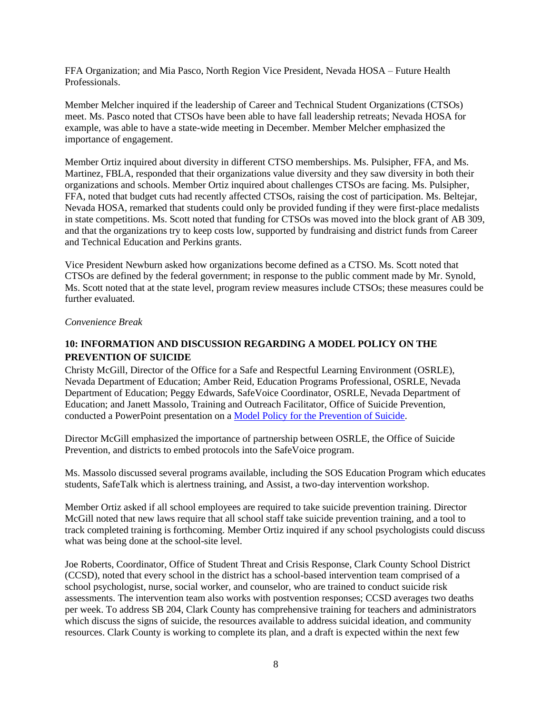FFA Organization; and Mia Pasco, North Region Vice President, Nevada HOSA – Future Health Professionals.

Member Melcher inquired if the leadership of Career and Technical Student Organizations (CTSOs) meet. Ms. Pasco noted that CTSOs have been able to have fall leadership retreats; Nevada HOSA for example, was able to have a state-wide meeting in December. Member Melcher emphasized the importance of engagement.

Member Ortiz inquired about diversity in different CTSO memberships. Ms. Pulsipher, FFA, and Ms. Martinez, FBLA, responded that their organizations value diversity and they saw diversity in both their organizations and schools. Member Ortiz inquired about challenges CTSOs are facing. Ms. Pulsipher, FFA, noted that budget cuts had recently affected CTSOs, raising the cost of participation. Ms. Beltejar, Nevada HOSA, remarked that students could only be provided funding if they were first-place medalists in state competitions. Ms. Scott noted that funding for CTSOs was moved into the block grant of AB 309, and that the organizations try to keep costs low, supported by fundraising and district funds from Career and Technical Education and Perkins grants.

Vice President Newburn asked how organizations become defined as a CTSO. Ms. Scott noted that CTSOs are defined by the federal government; in response to the public comment made by Mr. Synold, Ms. Scott noted that at the state level, program review measures include CTSOs; these measures could be further evaluated.

*Convenience Break*

# **10: INFORMATION AND DISCUSSION REGARDING A MODEL POLICY ON THE PREVENTION OF SUICIDE**

Christy McGill, Director of the Office for a Safe and Respectful Learning Environment (OSRLE), Nevada Department of Education; Amber Reid, Education Programs Professional, OSRLE, Nevada Department of Education; Peggy Edwards, SafeVoice Coordinator, OSRLE, Nevada Department of Education; and Janett Massolo, Training and Outreach Facilitator, Office of Suicide Prevention, conducted a PowerPoint presentation on a [Model Policy for the Prevention of Suicide.](http://www.doe.nv.gov/uploadedFiles/ndedoenvgov/content/Boards_Commissions_Councils/State_Board_of_Education/2020/January/SB204.pdf)

Director McGill emphasized the importance of partnership between OSRLE, the Office of Suicide Prevention, and districts to embed protocols into the SafeVoice program.

Ms. Massolo discussed several programs available, including the SOS Education Program which educates students, SafeTalk which is alertness training, and Assist, a two-day intervention workshop.

Member Ortiz asked if all school employees are required to take suicide prevention training. Director McGill noted that new laws require that all school staff take suicide prevention training, and a tool to track completed training is forthcoming. Member Ortiz inquired if any school psychologists could discuss what was being done at the school-site level.

Joe Roberts, Coordinator, Office of Student Threat and Crisis Response, Clark County School District (CCSD), noted that every school in the district has a school-based intervention team comprised of a school psychologist, nurse, social worker, and counselor, who are trained to conduct suicide risk assessments. The intervention team also works with postvention responses; CCSD averages two deaths per week. To address SB 204, Clark County has comprehensive training for teachers and administrators which discuss the signs of suicide, the resources available to address suicidal ideation, and community resources. Clark County is working to complete its plan, and a draft is expected within the next few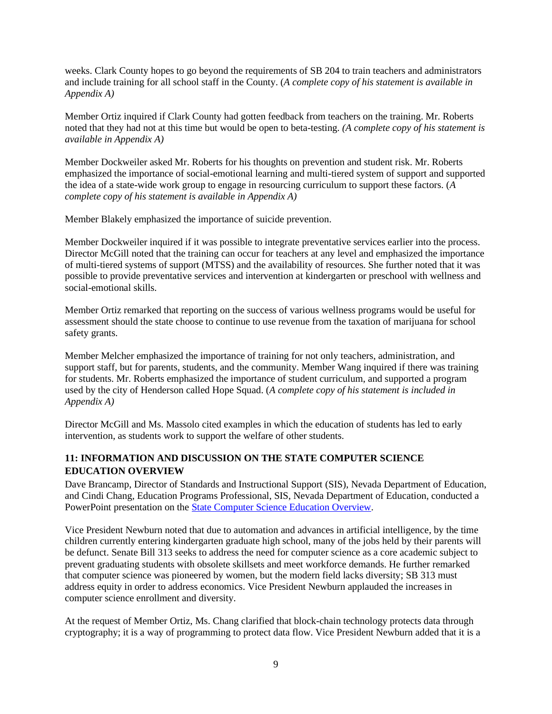weeks. Clark County hopes to go beyond the requirements of SB 204 to train teachers and administrators and include training for all school staff in the County. (*A complete copy of his statement is available in Appendix A)*

Member Ortiz inquired if Clark County had gotten feedback from teachers on the training. Mr. Roberts noted that they had not at this time but would be open to beta-testing. *(A complete copy of his statement is available in Appendix A)*

Member Dockweiler asked Mr. Roberts for his thoughts on prevention and student risk. Mr. Roberts emphasized the importance of social-emotional learning and multi-tiered system of support and supported the idea of a state-wide work group to engage in resourcing curriculum to support these factors. (*A complete copy of his statement is available in Appendix A)*

Member Blakely emphasized the importance of suicide prevention.

Member Dockweiler inquired if it was possible to integrate preventative services earlier into the process. Director McGill noted that the training can occur for teachers at any level and emphasized the importance of multi-tiered systems of support (MTSS) and the availability of resources. She further noted that it was possible to provide preventative services and intervention at kindergarten or preschool with wellness and social-emotional skills.

Member Ortiz remarked that reporting on the success of various wellness programs would be useful for assessment should the state choose to continue to use revenue from the taxation of marijuana for school safety grants.

Member Melcher emphasized the importance of training for not only teachers, administration, and support staff, but for parents, students, and the community. Member Wang inquired if there was training for students. Mr. Roberts emphasized the importance of student curriculum, and supported a program used by the city of Henderson called Hope Squad. (*A complete copy of his statement is included in Appendix A)*

Director McGill and Ms. Massolo cited examples in which the education of students has led to early intervention, as students work to support the welfare of other students.

# **11: INFORMATION AND DISCUSSION ON THE STATE COMPUTER SCIENCE EDUCATION OVERVIEW**

Dave Brancamp, Director of Standards and Instructional Support (SIS), Nevada Department of Education, and Cindi Chang, Education Programs Professional, SIS, Nevada Department of Education, conducted a PowerPoint presentation on the [State Computer Science Education Overview.](http://www.doe.nv.gov/uploadedFiles/ndedoenvgov/content/Boards_Commissions_Councils/State_Board_of_Education/2020/January/ComputerSciencePresentation-SBE.pdf)

Vice President Newburn noted that due to automation and advances in artificial intelligence, by the time children currently entering kindergarten graduate high school, many of the jobs held by their parents will be defunct. Senate Bill 313 seeks to address the need for computer science as a core academic subject to prevent graduating students with obsolete skillsets and meet workforce demands. He further remarked that computer science was pioneered by women, but the modern field lacks diversity; SB 313 must address equity in order to address economics. Vice President Newburn applauded the increases in computer science enrollment and diversity.

At the request of Member Ortiz, Ms. Chang clarified that block-chain technology protects data through cryptography; it is a way of programming to protect data flow. Vice President Newburn added that it is a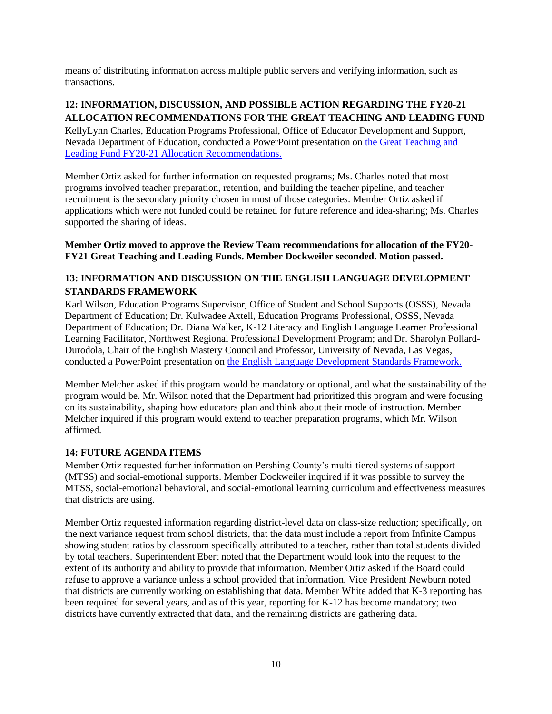means of distributing information across multiple public servers and verifying information, such as transactions.

# **12: INFORMATION, DISCUSSION, AND POSSIBLE ACTION REGARDING THE FY20-21 ALLOCATION RECOMMENDATIONS FOR THE GREAT TEACHING AND LEADING FUND**

KellyLynn Charles, Education Programs Professional, Office of Educator Development and Support, Nevada Department of Education, conducted a PowerPoint presentation on [the Great Teaching and](http://www.doe.nv.gov/uploadedFiles/ndedoenvgov/content/Boards_Commissions_Councils/State_Board_of_Education/2020/January/Item_12_GTLF.pdf)  [Leading Fund FY20-21 Allocation Recommendations.](http://www.doe.nv.gov/uploadedFiles/ndedoenvgov/content/Boards_Commissions_Councils/State_Board_of_Education/2020/January/Item_12_GTLF.pdf)

Member Ortiz asked for further information on requested programs; Ms. Charles noted that most programs involved teacher preparation, retention, and building the teacher pipeline, and teacher recruitment is the secondary priority chosen in most of those categories. Member Ortiz asked if applications which were not funded could be retained for future reference and idea-sharing; Ms. Charles supported the sharing of ideas.

## **Member Ortiz moved to approve the Review Team recommendations for allocation of the FY20- FY21 Great Teaching and Leading Funds. Member Dockweiler seconded. Motion passed.**

# **13: INFORMATION AND DISCUSSION ON THE ENGLISH LANGUAGE DEVELOPMENT STANDARDS FRAMEWORK**

Karl Wilson, Education Programs Supervisor, Office of Student and School Supports (OSSS), Nevada Department of Education; Dr. Kulwadee Axtell, Education Programs Professional, OSSS, Nevada Department of Education; Dr. Diana Walker, K-12 Literacy and English Language Learner Professional Learning Facilitator, Northwest Regional Professional Development Program; and Dr. Sharolyn Pollard-Durodola, Chair of the English Mastery Council and Professor, University of Nevada, Las Vegas, conducted a PowerPoint presentation on [the English Language Development Standards Framework.](http://www.doe.nv.gov/uploadedFiles/ndedoenvgov/content/Boards_Commissions_Councils/State_Board_of_Education/2020/January/ELD_Standards_Framework_BOE_Presentation.pdf)

Member Melcher asked if this program would be mandatory or optional, and what the sustainability of the program would be. Mr. Wilson noted that the Department had prioritized this program and were focusing on its sustainability, shaping how educators plan and think about their mode of instruction. Member Melcher inquired if this program would extend to teacher preparation programs, which Mr. Wilson affirmed.

### **14: FUTURE AGENDA ITEMS**

Member Ortiz requested further information on Pershing County's multi-tiered systems of support (MTSS) and social-emotional supports. Member Dockweiler inquired if it was possible to survey the MTSS, social-emotional behavioral, and social-emotional learning curriculum and effectiveness measures that districts are using.

Member Ortiz requested information regarding district-level data on class-size reduction; specifically, on the next variance request from school districts, that the data must include a report from Infinite Campus showing student ratios by classroom specifically attributed to a teacher, rather than total students divided by total teachers. Superintendent Ebert noted that the Department would look into the request to the extent of its authority and ability to provide that information. Member Ortiz asked if the Board could refuse to approve a variance unless a school provided that information. Vice President Newburn noted that districts are currently working on establishing that data. Member White added that K-3 reporting has been required for several years, and as of this year, reporting for K-12 has become mandatory; two districts have currently extracted that data, and the remaining districts are gathering data.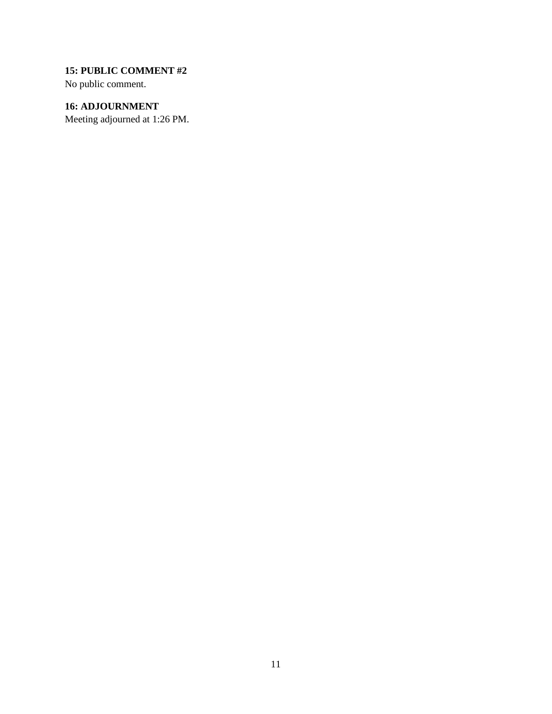# **15: PUBLIC COMMENT #2**

No public comment.

# **16: ADJOURNMENT**

Meeting adjourned at 1:26 PM.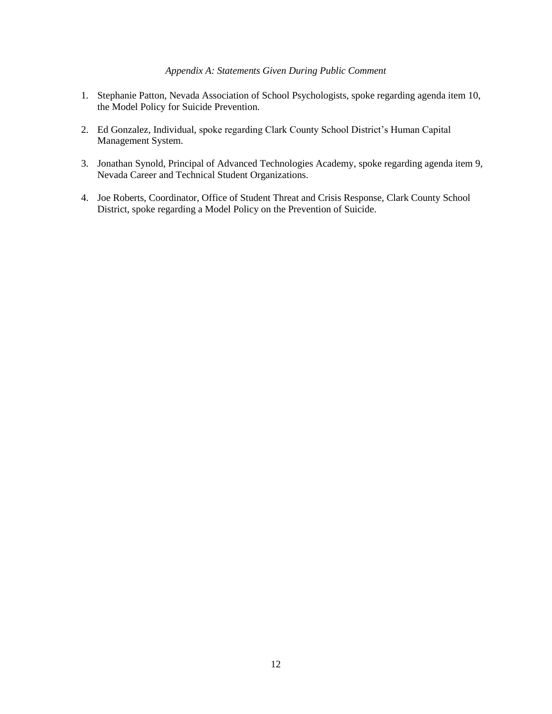### *Appendix A: Statements Given During Public Comment*

- 1. Stephanie Patton, Nevada Association of School Psychologists, spoke regarding agenda item 10, the Model Policy for Suicide Prevention.
- 2. Ed Gonzalez, Individual, spoke regarding Clark County School District's Human Capital Management System.
- 3. Jonathan Synold, Principal of Advanced Technologies Academy, spoke regarding agenda item 9, Nevada Career and Technical Student Organizations.
- 4. Joe Roberts, Coordinator, Office of Student Threat and Crisis Response, Clark County School District, spoke regarding a Model Policy on the Prevention of Suicide.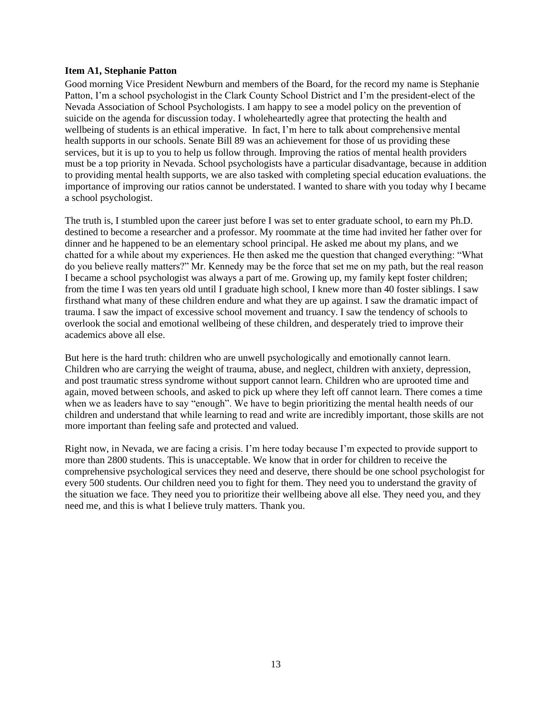### **Item A1, Stephanie Patton**

Good morning Vice President Newburn and members of the Board, for the record my name is Stephanie Patton, I'm a school psychologist in the Clark County School District and I'm the president-elect of the Nevada Association of School Psychologists. I am happy to see a model policy on the prevention of suicide on the agenda for discussion today. I wholeheartedly agree that protecting the health and wellbeing of students is an ethical imperative. In fact, I'm here to talk about comprehensive mental health supports in our schools. Senate Bill 89 was an achievement for those of us providing these services, but it is up to you to help us follow through. Improving the ratios of mental health providers must be a top priority in Nevada. School psychologists have a particular disadvantage, because in addition to providing mental health supports, we are also tasked with completing special education evaluations. the importance of improving our ratios cannot be understated. I wanted to share with you today why I became a school psychologist.

The truth is, I stumbled upon the career just before I was set to enter graduate school, to earn my Ph.D. destined to become a researcher and a professor. My roommate at the time had invited her father over for dinner and he happened to be an elementary school principal. He asked me about my plans, and we chatted for a while about my experiences. He then asked me the question that changed everything: "What do you believe really matters?" Mr. Kennedy may be the force that set me on my path, but the real reason I became a school psychologist was always a part of me. Growing up, my family kept foster children; from the time I was ten years old until I graduate high school, I knew more than 40 foster siblings. I saw firsthand what many of these children endure and what they are up against. I saw the dramatic impact of trauma. I saw the impact of excessive school movement and truancy. I saw the tendency of schools to overlook the social and emotional wellbeing of these children, and desperately tried to improve their academics above all else.

But here is the hard truth: children who are unwell psychologically and emotionally cannot learn. Children who are carrying the weight of trauma, abuse, and neglect, children with anxiety, depression, and post traumatic stress syndrome without support cannot learn. Children who are uprooted time and again, moved between schools, and asked to pick up where they left off cannot learn. There comes a time when we as leaders have to say "enough". We have to begin prioritizing the mental health needs of our children and understand that while learning to read and write are incredibly important, those skills are not more important than feeling safe and protected and valued.

Right now, in Nevada, we are facing a crisis. I'm here today because I'm expected to provide support to more than 2800 students. This is unacceptable. We know that in order for children to receive the comprehensive psychological services they need and deserve, there should be one school psychologist for every 500 students. Our children need you to fight for them. They need you to understand the gravity of the situation we face. They need you to prioritize their wellbeing above all else. They need you, and they need me, and this is what I believe truly matters. Thank you.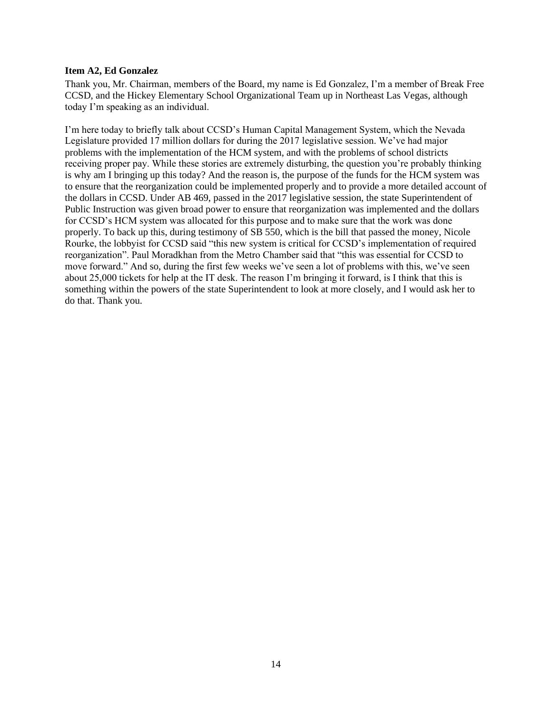### **Item A2, Ed Gonzalez**

Thank you, Mr. Chairman, members of the Board, my name is Ed Gonzalez, I'm a member of Break Free CCSD, and the Hickey Elementary School Organizational Team up in Northeast Las Vegas, although today I'm speaking as an individual.

I'm here today to briefly talk about CCSD's Human Capital Management System, which the Nevada Legislature provided 17 million dollars for during the 2017 legislative session. We've had major problems with the implementation of the HCM system, and with the problems of school districts receiving proper pay. While these stories are extremely disturbing, the question you're probably thinking is why am I bringing up this today? And the reason is, the purpose of the funds for the HCM system was to ensure that the reorganization could be implemented properly and to provide a more detailed account of the dollars in CCSD. Under AB 469, passed in the 2017 legislative session, the state Superintendent of Public Instruction was given broad power to ensure that reorganization was implemented and the dollars for CCSD's HCM system was allocated for this purpose and to make sure that the work was done properly. To back up this, during testimony of SB 550, which is the bill that passed the money, Nicole Rourke, the lobbyist for CCSD said "this new system is critical for CCSD's implementation of required reorganization". Paul Moradkhan from the Metro Chamber said that "this was essential for CCSD to move forward." And so, during the first few weeks we've seen a lot of problems with this, we've seen about 25,000 tickets for help at the IT desk. The reason I'm bringing it forward, is I think that this is something within the powers of the state Superintendent to look at more closely, and I would ask her to do that. Thank you.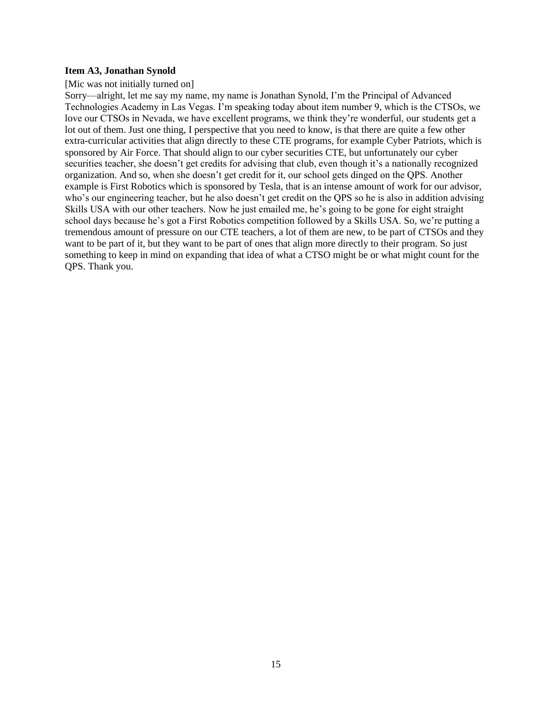#### **Item A3, Jonathan Synold**

#### [Mic was not initially turned on]

Sorry—alright, let me say my name, my name is Jonathan Synold, I'm the Principal of Advanced Technologies Academy in Las Vegas. I'm speaking today about item number 9, which is the CTSOs, we love our CTSOs in Nevada, we have excellent programs, we think they're wonderful, our students get a lot out of them. Just one thing, I perspective that you need to know, is that there are quite a few other extra-curricular activities that align directly to these CTE programs, for example Cyber Patriots, which is sponsored by Air Force. That should align to our cyber securities CTE, but unfortunately our cyber securities teacher, she doesn't get credits for advising that club, even though it's a nationally recognized organization. And so, when she doesn't get credit for it, our school gets dinged on the QPS. Another example is First Robotics which is sponsored by Tesla, that is an intense amount of work for our advisor, who's our engineering teacher, but he also doesn't get credit on the QPS so he is also in addition advising Skills USA with our other teachers. Now he just emailed me, he's going to be gone for eight straight school days because he's got a First Robotics competition followed by a Skills USA. So, we're putting a tremendous amount of pressure on our CTE teachers, a lot of them are new, to be part of CTSOs and they want to be part of it, but they want to be part of ones that align more directly to their program. So just something to keep in mind on expanding that idea of what a CTSO might be or what might count for the QPS. Thank you.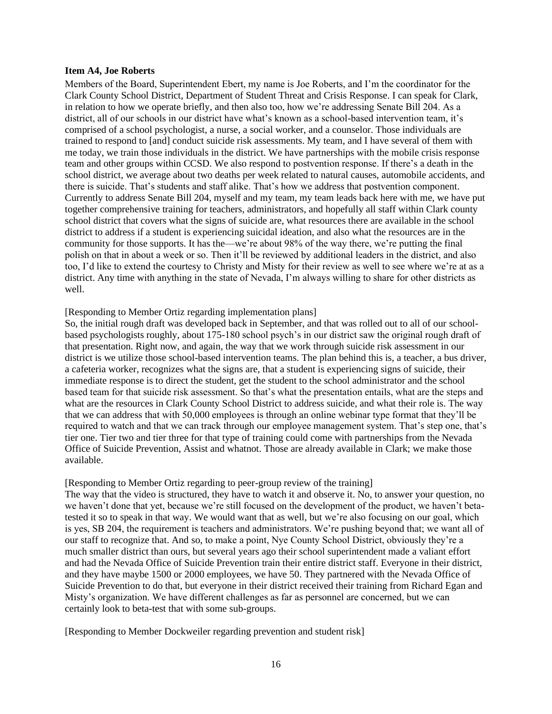#### **Item A4, Joe Roberts**

Members of the Board, Superintendent Ebert, my name is Joe Roberts, and I'm the coordinator for the Clark County School District, Department of Student Threat and Crisis Response. I can speak for Clark, in relation to how we operate briefly, and then also too, how we're addressing Senate Bill 204. As a district, all of our schools in our district have what's known as a school-based intervention team, it's comprised of a school psychologist, a nurse, a social worker, and a counselor. Those individuals are trained to respond to [and] conduct suicide risk assessments. My team, and I have several of them with me today, we train those individuals in the district. We have partnerships with the mobile crisis response team and other groups within CCSD. We also respond to postvention response. If there's a death in the school district, we average about two deaths per week related to natural causes, automobile accidents, and there is suicide. That's students and staff alike. That's how we address that postvention component. Currently to address Senate Bill 204, myself and my team, my team leads back here with me, we have put together comprehensive training for teachers, administrators, and hopefully all staff within Clark county school district that covers what the signs of suicide are, what resources there are available in the school district to address if a student is experiencing suicidal ideation, and also what the resources are in the community for those supports. It has the—we're about 98% of the way there, we're putting the final polish on that in about a week or so. Then it'll be reviewed by additional leaders in the district, and also too, I'd like to extend the courtesy to Christy and Misty for their review as well to see where we're at as a district. Any time with anything in the state of Nevada, I'm always willing to share for other districts as well.

#### [Responding to Member Ortiz regarding implementation plans]

So, the initial rough draft was developed back in September, and that was rolled out to all of our schoolbased psychologists roughly, about 175-180 school psych's in our district saw the original rough draft of that presentation. Right now, and again, the way that we work through suicide risk assessment in our district is we utilize those school-based intervention teams. The plan behind this is, a teacher, a bus driver, a cafeteria worker, recognizes what the signs are, that a student is experiencing signs of suicide, their immediate response is to direct the student, get the student to the school administrator and the school based team for that suicide risk assessment. So that's what the presentation entails, what are the steps and what are the resources in Clark County School District to address suicide, and what their role is. The way that we can address that with 50,000 employees is through an online webinar type format that they'll be required to watch and that we can track through our employee management system. That's step one, that's tier one. Tier two and tier three for that type of training could come with partnerships from the Nevada Office of Suicide Prevention, Assist and whatnot. Those are already available in Clark; we make those available.

#### [Responding to Member Ortiz regarding to peer-group review of the training]

The way that the video is structured, they have to watch it and observe it. No, to answer your question, no we haven't done that yet, because we're still focused on the development of the product, we haven't betatested it so to speak in that way. We would want that as well, but we're also focusing on our goal, which is yes, SB 204, the requirement is teachers and administrators. We're pushing beyond that; we want all of our staff to recognize that. And so, to make a point, Nye County School District, obviously they're a much smaller district than ours, but several years ago their school superintendent made a valiant effort and had the Nevada Office of Suicide Prevention train their entire district staff. Everyone in their district, and they have maybe 1500 or 2000 employees, we have 50. They partnered with the Nevada Office of Suicide Prevention to do that, but everyone in their district received their training from Richard Egan and Misty's organization. We have different challenges as far as personnel are concerned, but we can certainly look to beta-test that with some sub-groups.

[Responding to Member Dockweiler regarding prevention and student risk]